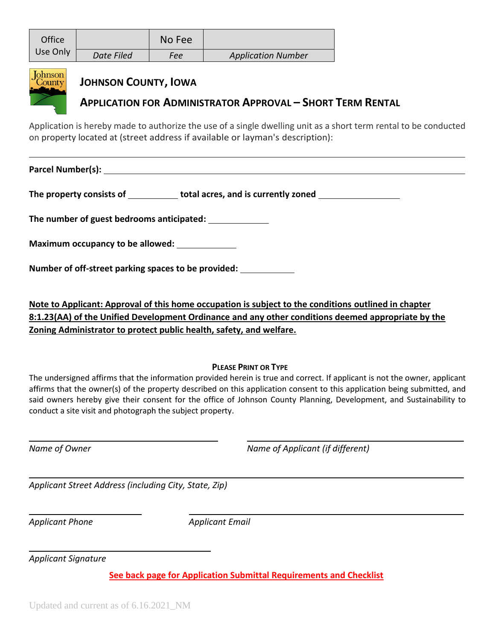| Office<br>Use Only                                                                                                                                                                                |                                                                                                  | No Fee |                           |  |  |
|---------------------------------------------------------------------------------------------------------------------------------------------------------------------------------------------------|--------------------------------------------------------------------------------------------------|--------|---------------------------|--|--|
|                                                                                                                                                                                                   | Date Filed                                                                                       | Fee    | <b>Application Number</b> |  |  |
| <b>Johnson</b><br>County                                                                                                                                                                          | <b>JOHNSON COUNTY, IOWA</b><br><b>APPLICATION FOR ADMINISTRATOR APPROVAL - SHORT TERM RENTAL</b> |        |                           |  |  |
| Application is hereby made to authorize the use of a single dwelling unit as a short term rental to be conducted<br>on property located at (street address if available or layman's description): |                                                                                                  |        |                           |  |  |
|                                                                                                                                                                                                   |                                                                                                  |        |                           |  |  |
| The property consists of _____________ total acres, and is currently zoned _________________________                                                                                              |                                                                                                  |        |                           |  |  |
|                                                                                                                                                                                                   |                                                                                                  |        |                           |  |  |
|                                                                                                                                                                                                   | The number of guest bedrooms anticipated:                                                        |        |                           |  |  |
|                                                                                                                                                                                                   | Maximum occupancy to be allowed: ____________                                                    |        |                           |  |  |

**Note to Applicant: Approval of this home occupation is subject to the conditions outlined in chapter 8:1.23(AA) of the Unified Development Ordinance and any other conditions deemed appropriate by the Zoning Administrator to protect public health, safety, and welfare.**

## **PLEASE PRINT OR TYPE**

The undersigned affirms that the information provided herein is true and correct. If applicant is not the owner, applicant affirms that the owner(s) of the property described on this application consent to this application being submitted, and said owners hereby give their consent for the office of Johnson County Planning, Development, and Sustainability to conduct a site visit and photograph the subject property.

*Name of Owner Name of Applicant (if different)*

*Applicant Street Address (including City, State, Zip)*

*Applicant Phone Applicant Email*

*Applicant Signature*

**See back page for Application Submittal Requirements and Checklist**